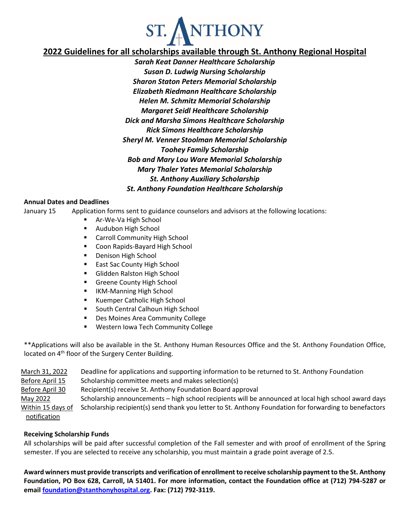

# **2022 Guidelines for all scholarships available through St. Anthony Regional Hospital**

*Sarah Keat Danner Healthcare Scholarship Susan D. Ludwig Nursing Scholarship Sharon Staton Peters Memorial Scholarship Elizabeth Riedmann Healthcare Scholarship Helen M. Schmitz Memorial Scholarship Margaret Seidl Healthcare Scholarship Dick and Marsha Simons Healthcare Scholarship Rick Simons Healthcare Scholarship Sheryl M. Venner Stoolman Memorial Scholarship Toohey Family Scholarship Bob and Mary Lou Ware Memorial Scholarship Mary Thaler Yates Memorial Scholarship St. Anthony Auxiliary Scholarship St. Anthony Foundation Healthcare Scholarship* 

## **Annual Dates and Deadlines**

January 15 Application forms sent to guidance counselors and advisors at the following locations:

- Ar-We-Va High School
- **Audubon High School**
- **EXEC** Carroll Community High School
- **E** Coon Rapids-Bayard High School
- **Denison High School**
- **East Sac County High School**
- **Glidden Ralston High School**
- **Greene County High School**
- **IIKM-Manning High School**
- Kuemper Catholic High School
- **South Central Calhoun High School**
- Des Moines Area Community College
- **Western Iowa Tech Community College**

\*\*Applications will also be available in the St. Anthony Human Resources Office and the St. Anthony Foundation Office, located on 4<sup>th</sup> floor of the Surgery Center Building.

| March 31, 2022    | Deadline for applications and supporting information to be returned to St. Anthony Foundation          |
|-------------------|--------------------------------------------------------------------------------------------------------|
| Before April 15   | Scholarship committee meets and makes selection(s)                                                     |
| Before April 30   | Recipient(s) receive St. Anthony Foundation Board approval                                             |
| May 2022          | Scholarship announcements – high school recipients will be announced at local high school award days   |
| Within 15 days of | Scholarship recipient(s) send thank you letter to St. Anthony Foundation for forwarding to benefactors |
| notification      |                                                                                                        |

## **Receiving Scholarship Funds**

All scholarships will be paid after successful completion of the Fall semester and with proof of enrollment of the Spring semester. If you are selected to receive any scholarship, you must maintain a grade point average of 2.5.

**Award winners must provide transcripts and verification of enrollment to receive scholarship payment to the St. Anthony Foundation, PO Box 628, Carroll, IA 51401. For more information, contact the Foundation office at (712) 794-5287 or email [foundation@stanthonyhospital.org.](mailto:foundation@stanthonyhospital.org) Fax: (712) 792-3119.**